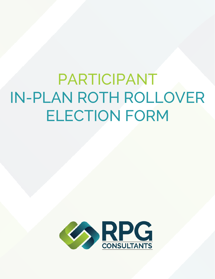PARTICIPANT IN-PLAN ROTH ROLLOVER ELECTION FORM